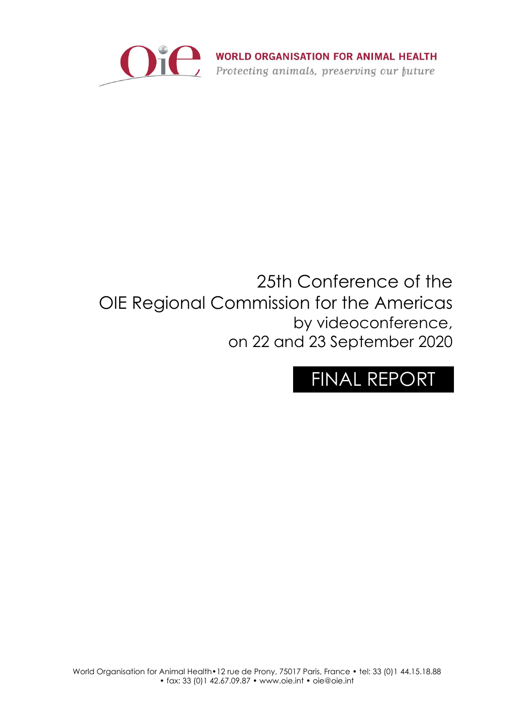

WORLD ORGANISATION FOR ANIMAL HEALTH<br>Protecting animals, preserving our future

# 25th Conference of the OIE Regional Commission for the Americas by videoconference, on 22 and 23 September 2020

# FINAL REPORT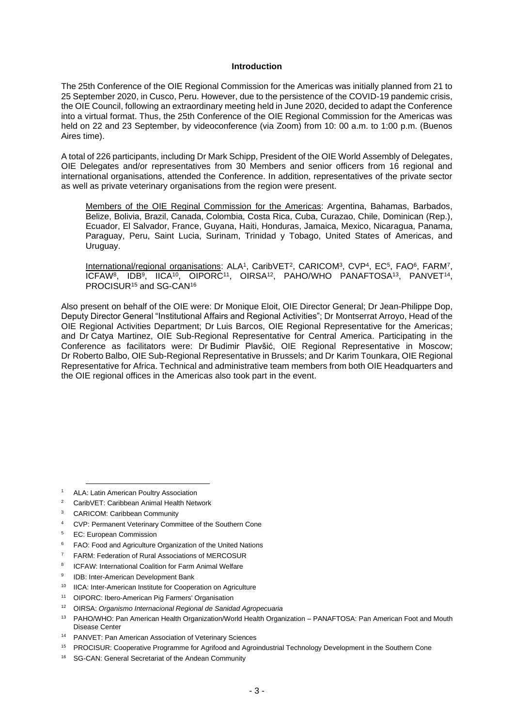#### **Introduction**

The 25th Conference of the OIE Regional Commission for the Americas was initially planned from 21 to 25 September 2020, in Cusco, Peru. However, due to the persistence of the COVID-19 pandemic crisis, the OIE Council, following an extraordinary meeting held in June 2020, decided to adapt the Conference into a virtual format. Thus, the 25th Conference of the OIE Regional Commission for the Americas was held on 22 and 23 September, by videoconference (via Zoom) from 10: 00 a.m. to 1:00 p.m. (Buenos Aires time).

A total of 226 participants, including Dr Mark Schipp, President of the OIE World Assembly of Delegates, OIE Delegates and/or representatives from 30 Members and senior officers from 16 regional and international organisations, attended the Conference. In addition, representatives of the private sector as well as private veterinary organisations from the region were present.

Members of the OIE Reginal Commission for the Americas: Argentina, Bahamas, Barbados, Belize, Bolivia, Brazil, Canada, Colombia, Costa Rica, Cuba, Curazao, Chile, Dominican (Rep.), Ecuador, El Salvador, France, Guyana, Haiti, Honduras, Jamaica, Mexico, Nicaragua, Panama, Paraguay, Peru, Saint Lucia, Surinam, Trinidad y Tobago, United States of Americas, and Uruguay.

International/regional organisations: ALA<sup>1</sup>, CaribVET<sup>2</sup>, CARICOM<sup>3</sup>, CVP<sup>4</sup>, EC<sup>5</sup>, FAO<sup>6</sup>, FARM<sup>7</sup>, ICFAW<sup>8</sup>, IDB<sup>9</sup>, IICA<sup>10</sup>, OIPORC<sup>11</sup>, OIRSA<sup>12</sup>, PAHO/WHO PANAFTOSA<sup>13</sup>, PANVET<sup>14</sup>, PROCISUR<sup>15</sup> and SG-CAN<sup>16</sup>

Also present on behalf of the OIE were: Dr Monique Eloit, OIE Director General; Dr Jean-Philippe Dop, Deputy Director General "Institutional Affairs and Regional Activities"; Dr Montserrat Arroyo, Head of the OIE Regional Activities Department; Dr Luis Barcos, OIE Regional Representative for the Americas; and Dr Catya Martinez, OIE Sub-Regional Representative for Central America. Participating in the Conference as facilitators were: Dr Budimir Plavšić, OIE Regional Representative in Moscow; Dr Roberto Balbo, OIE Sub-Regional Representative in Brussels; and Dr Karim Tounkara, OIE Regional Representative for Africa. Technical and administrative team members from both OIE Headquarters and the OIE regional offices in the Americas also took part in the event.

<sup>3</sup> CARICOM: Caribbean Community

- <sup>5</sup> EC: European Commission
- <sup>6</sup> FAO: Food and Agriculture Organization of the United Nations
- <sup>7</sup> FARM: Federation of Rural Associations of MERCOSUR
- 8 ICFAW: International Coalition for Farm Animal Welfare
- $\alpha$ IDB: Inter-American Development Bank
- <sup>10</sup> IICA: Inter-American Institute for Cooperation on Agriculture
- <sup>11</sup> OIPORC: Ibero-American Pig Farmers' Organisation
- <sup>12</sup> OIRSA: *Organismo Internacional Regional de Sanidad Agropecuaria*
- <sup>13</sup> PAHO/WHO: Pan American Health Organization/World Health Organization PANAFTOSA: Pan American Foot and Mouth Disease Center
- <sup>14</sup> PANVET: Pan American Association of Veterinary Sciences
- <sup>15</sup> PROCISUR: Cooperative Programme for Agrifood and Agroindustrial Technology Development in the Southern Cone
- <sup>16</sup> SG-CAN: General Secretariat of the Andean Community

ALA: Latin American Poultry Association

<sup>2</sup> CaribVET: Caribbean Animal Health Network

<sup>4</sup> CVP: Permanent Veterinary Committee of the Southern Cone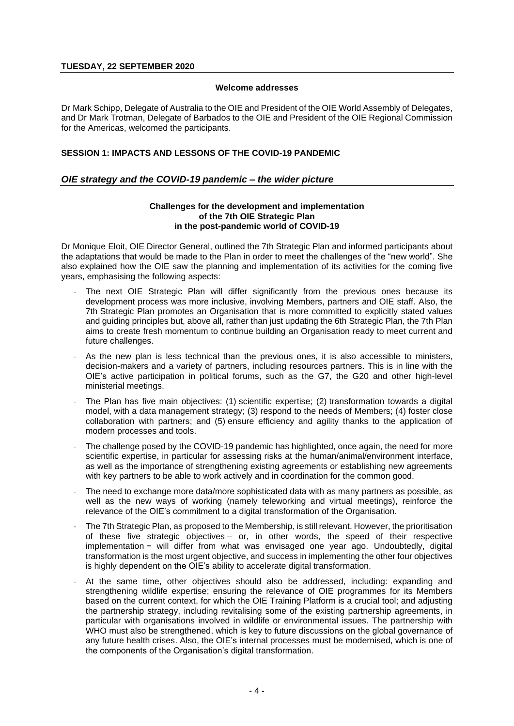#### **Welcome addresses**

Dr Mark Schipp, Delegate of Australia to the OIE and President of the OIE World Assembly of Delegates, and Dr Mark Trotman, Delegate of Barbados to the OIE and President of the OIE Regional Commission for the Americas, welcomed the participants.

# **SESSION 1: IMPACTS AND LESSONS OF THE COVID-19 PANDEMIC**

# *OIE strategy and the COVID-19 pandemic – the wider picture*

#### **Challenges for the development and implementation of the 7th OIE Strategic Plan in the post-pandemic world of COVID-19**

Dr Monique Eloit, OIE Director General, outlined the 7th Strategic Plan and informed participants about the adaptations that would be made to the Plan in order to meet the challenges of the "new world". She also explained how the OIE saw the planning and implementation of its activities for the coming five years, emphasising the following aspects:

- The next OIE Strategic Plan will differ significantly from the previous ones because its development process was more inclusive, involving Members, partners and OIE staff. Also, the 7th Strategic Plan promotes an Organisation that is more committed to explicitly stated values and guiding principles but, above all, rather than just updating the 6th Strategic Plan, the 7th Plan aims to create fresh momentum to continue building an Organisation ready to meet current and future challenges.
- As the new plan is less technical than the previous ones, it is also accessible to ministers, decision-makers and a variety of partners, including resources partners. This is in line with the OIE's active participation in political forums, such as the G7, the G20 and other high-level ministerial meetings.
- The Plan has five main objectives: (1) scientific expertise; (2) transformation towards a digital model, with a data management strategy; (3) respond to the needs of Members; (4) foster close collaboration with partners; and (5) ensure efficiency and agility thanks to the application of modern processes and tools.
- The challenge posed by the COVID-19 pandemic has highlighted, once again, the need for more scientific expertise, in particular for assessing risks at the human/animal/environment interface, as well as the importance of strengthening existing agreements or establishing new agreements with key partners to be able to work actively and in coordination for the common good.
- The need to exchange more data/more sophisticated data with as many partners as possible, as well as the new ways of working (namely teleworking and virtual meetings), reinforce the relevance of the OIE's commitment to a digital transformation of the Organisation.
- The 7th Strategic Plan, as proposed to the Membership, is still relevant. However, the prioritisation of these five strategic objectives – or, in other words, the speed of their respective implementation − will differ from what was envisaged one year ago. Undoubtedly, digital transformation is the most urgent objective, and success in implementing the other four objectives is highly dependent on the OIE's ability to accelerate digital transformation.
- At the same time, other objectives should also be addressed, including: expanding and strengthening wildlife expertise; ensuring the relevance of OIE programmes for its Members based on the current context, for which the OIE Training Platform is a crucial tool; and adjusting the partnership strategy, including revitalising some of the existing partnership agreements, in particular with organisations involved in wildlife or environmental issues. The partnership with WHO must also be strengthened, which is key to future discussions on the global governance of any future health crises. Also, the OIE's internal processes must be modernised, which is one of the components of the Organisation's digital transformation.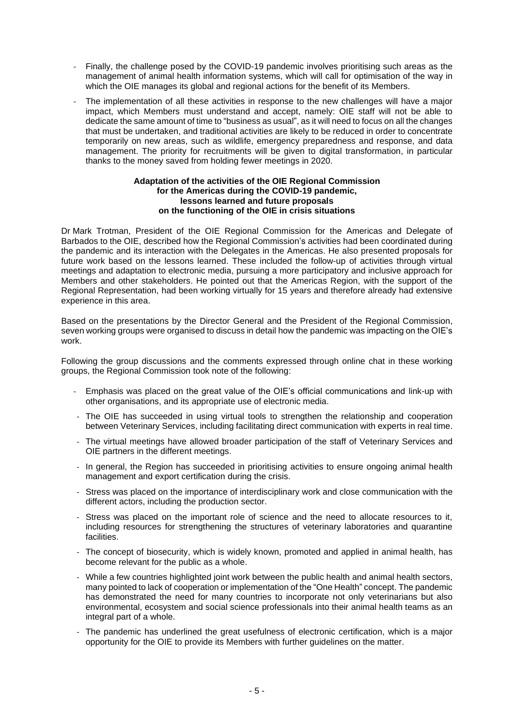- Finally, the challenge posed by the COVID-19 pandemic involves prioritising such areas as the management of animal health information systems, which will call for optimisation of the way in which the OIE manages its global and regional actions for the benefit of its Members.
- The implementation of all these activities in response to the new challenges will have a major impact, which Members must understand and accept, namely: OIE staff will not be able to dedicate the same amount of time to "business as usual", as it will need to focus on all the changes that must be undertaken, and traditional activities are likely to be reduced in order to concentrate temporarily on new areas, such as wildlife, emergency preparedness and response, and data management. The priority for recruitments will be given to digital transformation, in particular thanks to the money saved from holding fewer meetings in 2020.

#### **Adaptation of the activities of the OIE Regional Commission for the Americas during the COVID-19 pandemic, lessons learned and future proposals on the functioning of the OIE in crisis situations**

Dr Mark Trotman, President of the OIE Regional Commission for the Americas and Delegate of Barbados to the OIE, described how the Regional Commission's activities had been coordinated during the pandemic and its interaction with the Delegates in the Americas. He also presented proposals for future work based on the lessons learned. These included the follow-up of activities through virtual meetings and adaptation to electronic media, pursuing a more participatory and inclusive approach for Members and other stakeholders. He pointed out that the Americas Region, with the support of the Regional Representation, had been working virtually for 15 years and therefore already had extensive experience in this area.

Based on the presentations by the Director General and the President of the Regional Commission, seven working groups were organised to discuss in detail how the pandemic was impacting on the OIE's work.

Following the group discussions and the comments expressed through online chat in these working groups, the Regional Commission took note of the following:

- Emphasis was placed on the great value of the OIE's official communications and link-up with other organisations, and its appropriate use of electronic media.
- The OIE has succeeded in using virtual tools to strengthen the relationship and cooperation between Veterinary Services, including facilitating direct communication with experts in real time.
- The virtual meetings have allowed broader participation of the staff of Veterinary Services and OIE partners in the different meetings.
- In general, the Region has succeeded in prioritising activities to ensure ongoing animal health management and export certification during the crisis.
- Stress was placed on the importance of interdisciplinary work and close communication with the different actors, including the production sector.
- Stress was placed on the important role of science and the need to allocate resources to it, including resources for strengthening the structures of veterinary laboratories and quarantine facilities.
- The concept of biosecurity, which is widely known, promoted and applied in animal health, has become relevant for the public as a whole.
- While a few countries highlighted joint work between the public health and animal health sectors, many pointed to lack of cooperation or implementation of the "One Health" concept. The pandemic has demonstrated the need for many countries to incorporate not only veterinarians but also environmental, ecosystem and social science professionals into their animal health teams as an integral part of a whole.
- The pandemic has underlined the great usefulness of electronic certification, which is a major opportunity for the OIE to provide its Members with further guidelines on the matter.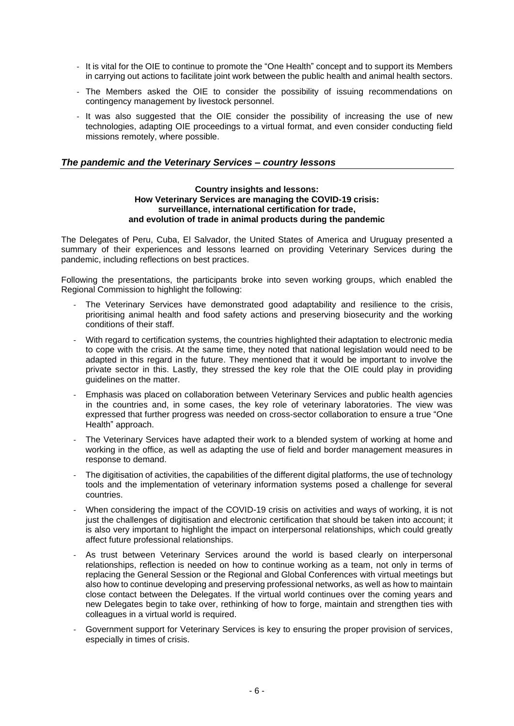- It is vital for the OIE to continue to promote the "One Health" concept and to support its Members in carrying out actions to facilitate joint work between the public health and animal health sectors.
- The Members asked the OIE to consider the possibility of issuing recommendations on contingency management by livestock personnel.
- It was also suggested that the OIE consider the possibility of increasing the use of new technologies, adapting OIE proceedings to a virtual format, and even consider conducting field missions remotely, where possible.

# *The pandemic and the Veterinary Services – country lessons*

#### **Country insights and lessons: How Veterinary Services are managing the COVID-19 crisis: surveillance, international certification for trade, and evolution of trade in animal products during the pandemic**

The Delegates of Peru, Cuba, El Salvador, the United States of America and Uruguay presented a summary of their experiences and lessons learned on providing Veterinary Services during the pandemic, including reflections on best practices.

Following the presentations, the participants broke into seven working groups, which enabled the Regional Commission to highlight the following:

- The Veterinary Services have demonstrated good adaptability and resilience to the crisis, prioritising animal health and food safety actions and preserving biosecurity and the working conditions of their staff.
- With regard to certification systems, the countries highlighted their adaptation to electronic media to cope with the crisis. At the same time, they noted that national legislation would need to be adapted in this regard in the future. They mentioned that it would be important to involve the private sector in this. Lastly, they stressed the key role that the OIE could play in providing guidelines on the matter.
- Emphasis was placed on collaboration between Veterinary Services and public health agencies in the countries and, in some cases, the key role of veterinary laboratories. The view was expressed that further progress was needed on cross-sector collaboration to ensure a true "One Health" approach.
- The Veterinary Services have adapted their work to a blended system of working at home and working in the office, as well as adapting the use of field and border management measures in response to demand.
- The digitisation of activities, the capabilities of the different digital platforms, the use of technology tools and the implementation of veterinary information systems posed a challenge for several countries.
- When considering the impact of the COVID-19 crisis on activities and ways of working, it is not just the challenges of digitisation and electronic certification that should be taken into account; it is also very important to highlight the impact on interpersonal relationships, which could greatly affect future professional relationships.
- As trust between Veterinary Services around the world is based clearly on interpersonal relationships, reflection is needed on how to continue working as a team, not only in terms of replacing the General Session or the Regional and Global Conferences with virtual meetings but also how to continue developing and preserving professional networks, as well as how to maintain close contact between the Delegates. If the virtual world continues over the coming years and new Delegates begin to take over, rethinking of how to forge, maintain and strengthen ties with colleagues in a virtual world is required.
- Government support for Veterinary Services is key to ensuring the proper provision of services, especially in times of crisis.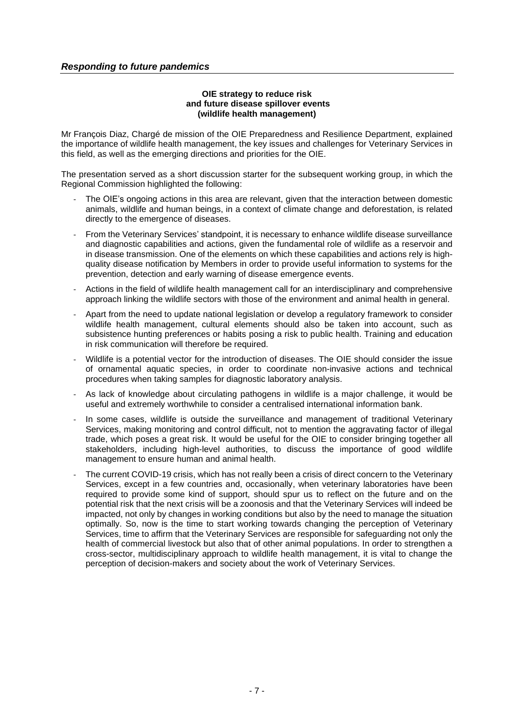# **OIE strategy to reduce risk and future disease spillover events (wildlife health management)**

Mr François Diaz, Chargé de mission of the OIE Preparedness and Resilience Department, explained the importance of wildlife health management, the key issues and challenges for Veterinary Services in this field, as well as the emerging directions and priorities for the OIE.

The presentation served as a short discussion starter for the subsequent working group, in which the Regional Commission highlighted the following:

- The OIE's ongoing actions in this area are relevant, given that the interaction between domestic animals, wildlife and human beings, in a context of climate change and deforestation, is related directly to the emergence of diseases.
- From the Veterinary Services' standpoint, it is necessary to enhance wildlife disease surveillance and diagnostic capabilities and actions, given the fundamental role of wildlife as a reservoir and in disease transmission. One of the elements on which these capabilities and actions rely is highquality disease notification by Members in order to provide useful information to systems for the prevention, detection and early warning of disease emergence events.
- Actions in the field of wildlife health management call for an interdisciplinary and comprehensive approach linking the wildlife sectors with those of the environment and animal health in general.
- Apart from the need to update national legislation or develop a regulatory framework to consider wildlife health management, cultural elements should also be taken into account, such as subsistence hunting preferences or habits posing a risk to public health. Training and education in risk communication will therefore be required.
- Wildlife is a potential vector for the introduction of diseases. The OIE should consider the issue of ornamental aquatic species, in order to coordinate non-invasive actions and technical procedures when taking samples for diagnostic laboratory analysis.
- As lack of knowledge about circulating pathogens in wildlife is a major challenge, it would be useful and extremely worthwhile to consider a centralised international information bank.
- In some cases, wildlife is outside the surveillance and management of traditional Veterinary Services, making monitoring and control difficult, not to mention the aggravating factor of illegal trade, which poses a great risk. It would be useful for the OIE to consider bringing together all stakeholders, including high-level authorities, to discuss the importance of good wildlife management to ensure human and animal health.
- The current COVID-19 crisis, which has not really been a crisis of direct concern to the Veterinary Services, except in a few countries and, occasionally, when veterinary laboratories have been required to provide some kind of support, should spur us to reflect on the future and on the potential risk that the next crisis will be a zoonosis and that the Veterinary Services will indeed be impacted, not only by changes in working conditions but also by the need to manage the situation optimally. So, now is the time to start working towards changing the perception of Veterinary Services, time to affirm that the Veterinary Services are responsible for safeguarding not only the health of commercial livestock but also that of other animal populations. In order to strengthen a cross-sector, multidisciplinary approach to wildlife health management, it is vital to change the perception of decision-makers and society about the work of Veterinary Services.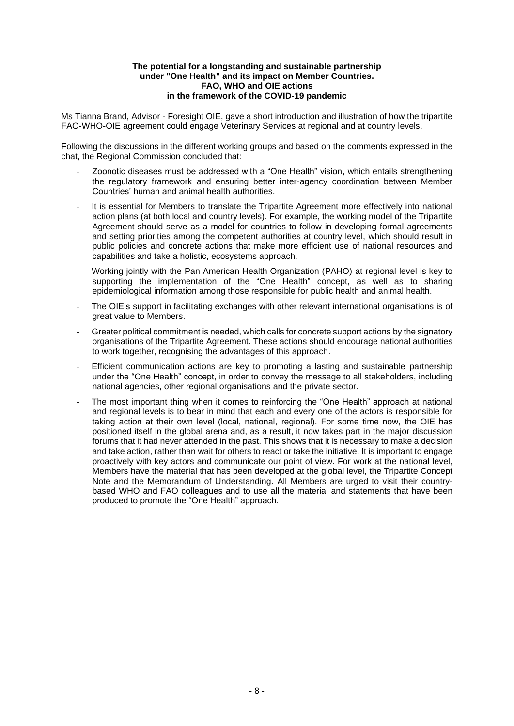#### **The potential for a longstanding and sustainable partnership under "One Health" and its impact on Member Countries. FAO, WHO and OIE actions in the framework of the COVID-19 pandemic**

Ms Tianna Brand, Advisor - Foresight OIE, gave a short introduction and illustration of how the tripartite FAO-WHO-OIE agreement could engage Veterinary Services at regional and at country levels.

Following the discussions in the different working groups and based on the comments expressed in the chat, the Regional Commission concluded that:

- Zoonotic diseases must be addressed with a "One Health" vision, which entails strengthening the regulatory framework and ensuring better inter-agency coordination between Member Countries' human and animal health authorities.
- It is essential for Members to translate the Tripartite Agreement more effectively into national action plans (at both local and country levels). For example, the working model of the Tripartite Agreement should serve as a model for countries to follow in developing formal agreements and setting priorities among the competent authorities at country level, which should result in public policies and concrete actions that make more efficient use of national resources and capabilities and take a holistic, ecosystems approach.
- Working jointly with the Pan American Health Organization (PAHO) at regional level is key to supporting the implementation of the "One Health" concept, as well as to sharing epidemiological information among those responsible for public health and animal health.
- The OIE's support in facilitating exchanges with other relevant international organisations is of great value to Members.
- Greater political commitment is needed, which calls for concrete support actions by the signatory organisations of the Tripartite Agreement. These actions should encourage national authorities to work together, recognising the advantages of this approach.
- Efficient communication actions are key to promoting a lasting and sustainable partnership under the "One Health" concept, in order to convey the message to all stakeholders, including national agencies, other regional organisations and the private sector.
- The most important thing when it comes to reinforcing the "One Health" approach at national and regional levels is to bear in mind that each and every one of the actors is responsible for taking action at their own level (local, national, regional). For some time now, the OIE has positioned itself in the global arena and, as a result, it now takes part in the major discussion forums that it had never attended in the past. This shows that it is necessary to make a decision and take action, rather than wait for others to react or take the initiative. It is important to engage proactively with key actors and communicate our point of view. For work at the national level, Members have the material that has been developed at the global level, the Tripartite Concept Note and the Memorandum of Understanding. All Members are urged to visit their countrybased WHO and FAO colleagues and to use all the material and statements that have been produced to promote the "One Health" approach.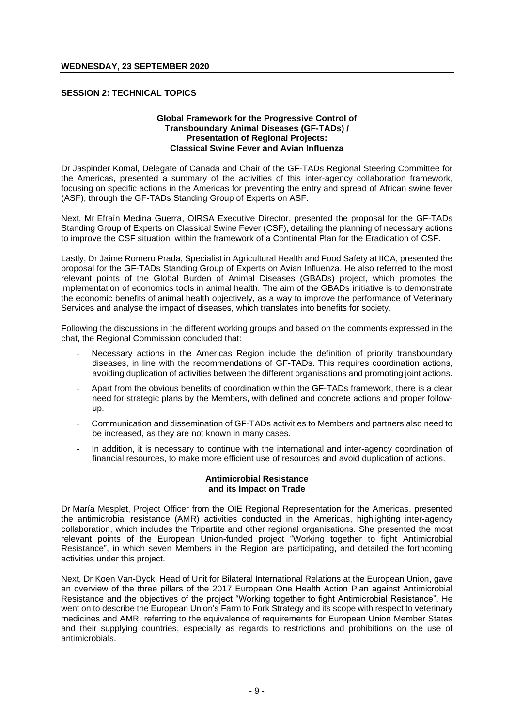# **SESSION 2: TECHNICAL TOPICS**

#### **Global Framework for the Progressive Control of Transboundary Animal Diseases (GF-TADs) / Presentation of Regional Projects: Classical Swine Fever and Avian Influenza**

Dr Jaspinder Komal, Delegate of Canada and Chair of the GF-TADs Regional Steering Committee for the Americas, presented a summary of the activities of this inter-agency collaboration framework, focusing on specific actions in the Americas for preventing the entry and spread of African swine fever (ASF), through the GF-TADs Standing Group of Experts on ASF.

Next, Mr Efraín Medina Guerra, OIRSA Executive Director, presented the proposal for the GF-TADs Standing Group of Experts on Classical Swine Fever (CSF), detailing the planning of necessary actions to improve the CSF situation, within the framework of a Continental Plan for the Eradication of CSF.

Lastly, Dr Jaime Romero Prada, Specialist in Agricultural Health and Food Safety at IICA, presented the proposal for the GF-TADs Standing Group of Experts on Avian Influenza. He also referred to the most relevant points of the Global Burden of Animal Diseases (GBADs) project, which promotes the implementation of economics tools in animal health. The aim of the GBADs initiative is to demonstrate the economic benefits of animal health objectively, as a way to improve the performance of Veterinary Services and analyse the impact of diseases, which translates into benefits for society.

Following the discussions in the different working groups and based on the comments expressed in the chat, the Regional Commission concluded that:

- Necessary actions in the Americas Region include the definition of priority transboundary diseases, in line with the recommendations of GF-TADs. This requires coordination actions, avoiding duplication of activities between the different organisations and promoting joint actions.
- Apart from the obvious benefits of coordination within the GF-TADs framework, there is a clear need for strategic plans by the Members, with defined and concrete actions and proper followup.
- Communication and dissemination of GF-TADs activities to Members and partners also need to be increased, as they are not known in many cases.
- In addition, it is necessary to continue with the international and inter-agency coordination of financial resources, to make more efficient use of resources and avoid duplication of actions.

#### **Antimicrobial Resistance and its Impact on Trade**

Dr María Mesplet, Project Officer from the OIE Regional Representation for the Americas, presented the antimicrobial resistance (AMR) activities conducted in the Americas, highlighting inter-agency collaboration, which includes the Tripartite and other regional organisations. She presented the most relevant points of the European Union-funded project "Working together to fight Antimicrobial Resistance", in which seven Members in the Region are participating, and detailed the forthcoming activities under this project.

Next, Dr Koen Van-Dyck, Head of Unit for Bilateral International Relations at the European Union, gave an overview of the three pillars of the 2017 European One Health Action Plan against Antimicrobial Resistance and the objectives of the project "Working together to fight Antimicrobial Resistance". He went on to describe the European Union's Farm to Fork Strategy and its scope with respect to veterinary medicines and AMR, referring to the equivalence of requirements for European Union Member States and their supplying countries, especially as regards to restrictions and prohibitions on the use of antimicrobials.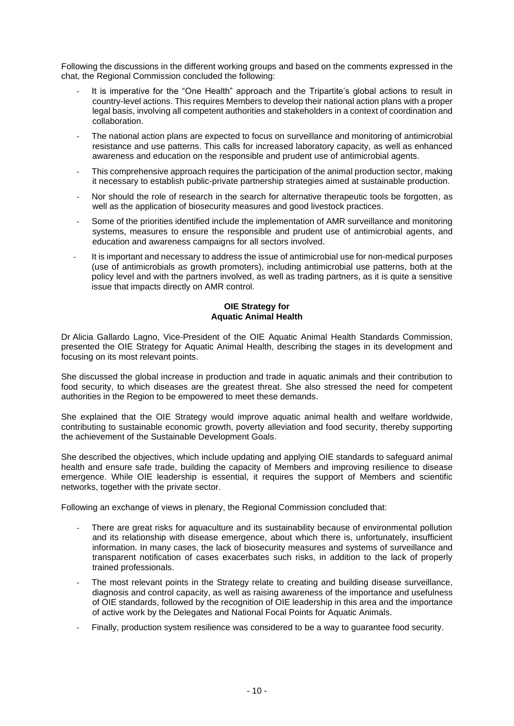Following the discussions in the different working groups and based on the comments expressed in the chat, the Regional Commission concluded the following:

- It is imperative for the "One Health" approach and the Tripartite's global actions to result in country-level actions. This requires Members to develop their national action plans with a proper legal basis, involving all competent authorities and stakeholders in a context of coordination and collaboration.
- The national action plans are expected to focus on surveillance and monitoring of antimicrobial resistance and use patterns. This calls for increased laboratory capacity, as well as enhanced awareness and education on the responsible and prudent use of antimicrobial agents.
- This comprehensive approach requires the participation of the animal production sector, making it necessary to establish public-private partnership strategies aimed at sustainable production.
- Nor should the role of research in the search for alternative therapeutic tools be forgotten, as well as the application of biosecurity measures and good livestock practices.
- Some of the priorities identified include the implementation of AMR surveillance and monitoring systems, measures to ensure the responsible and prudent use of antimicrobial agents, and education and awareness campaigns for all sectors involved.
- It is important and necessary to address the issue of antimicrobial use for non-medical purposes (use of antimicrobials as growth promoters), including antimicrobial use patterns, both at the policy level and with the partners involved, as well as trading partners, as it is quite a sensitive issue that impacts directly on AMR control.

# **OIE Strategy for Aquatic Animal Health**

Dr Alicia Gallardo Lagno, Vice-President of the OIE Aquatic Animal Health Standards Commission, presented the OIE Strategy for Aquatic Animal Health, describing the stages in its development and focusing on its most relevant points.

She discussed the global increase in production and trade in aquatic animals and their contribution to food security, to which diseases are the greatest threat. She also stressed the need for competent authorities in the Region to be empowered to meet these demands.

She explained that the OIE Strategy would improve aquatic animal health and welfare worldwide, contributing to sustainable economic growth, poverty alleviation and food security, thereby supporting the achievement of the Sustainable Development Goals.

She described the objectives, which include updating and applying OIE standards to safeguard animal health and ensure safe trade, building the capacity of Members and improving resilience to disease emergence. While OIE leadership is essential, it requires the support of Members and scientific networks, together with the private sector.

Following an exchange of views in plenary, the Regional Commission concluded that:

- There are great risks for aquaculture and its sustainability because of environmental pollution and its relationship with disease emergence, about which there is, unfortunately, insufficient information. In many cases, the lack of biosecurity measures and systems of surveillance and transparent notification of cases exacerbates such risks, in addition to the lack of properly trained professionals.
- The most relevant points in the Strategy relate to creating and building disease surveillance, diagnosis and control capacity, as well as raising awareness of the importance and usefulness of OIE standards, followed by the recognition of OIE leadership in this area and the importance of active work by the Delegates and National Focal Points for Aquatic Animals.
- Finally, production system resilience was considered to be a way to guarantee food security.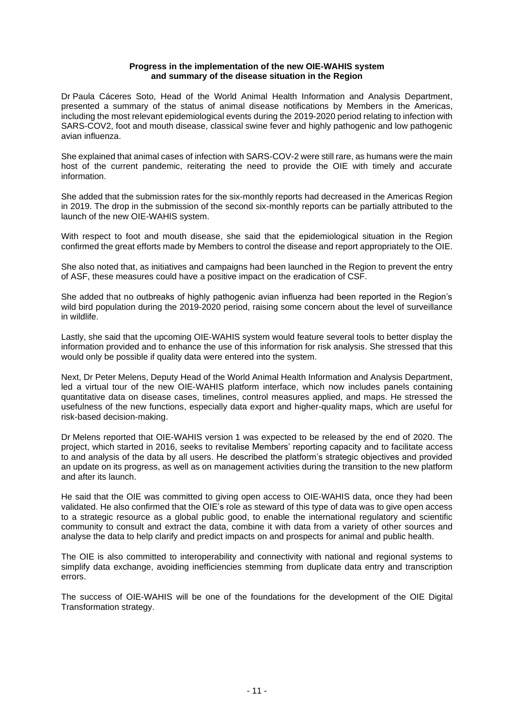#### **Progress in the implementation of the new OIE-WAHIS system and summary of the disease situation in the Region**

Dr Paula Cáceres Soto, Head of the World Animal Health Information and Analysis Department, presented a summary of the status of animal disease notifications by Members in the Americas, including the most relevant epidemiological events during the 2019-2020 period relating to infection with SARS-COV2, foot and mouth disease, classical swine fever and highly pathogenic and low pathogenic avian influenza.

She explained that animal cases of infection with SARS-COV-2 were still rare, as humans were the main host of the current pandemic, reiterating the need to provide the OIE with timely and accurate information.

She added that the submission rates for the six-monthly reports had decreased in the Americas Region in 2019. The drop in the submission of the second six-monthly reports can be partially attributed to the launch of the new OIE-WAHIS system.

With respect to foot and mouth disease, she said that the epidemiological situation in the Region confirmed the great efforts made by Members to control the disease and report appropriately to the OIE.

She also noted that, as initiatives and campaigns had been launched in the Region to prevent the entry of ASF, these measures could have a positive impact on the eradication of CSF.

She added that no outbreaks of highly pathogenic avian influenza had been reported in the Region's wild bird population during the 2019-2020 period, raising some concern about the level of surveillance in wildlife.

Lastly, she said that the upcoming OIE-WAHIS system would feature several tools to better display the information provided and to enhance the use of this information for risk analysis. She stressed that this would only be possible if quality data were entered into the system.

Next, Dr Peter Melens, Deputy Head of the World Animal Health Information and Analysis Department, led a virtual tour of the new OIE-WAHIS platform interface, which now includes panels containing quantitative data on disease cases, timelines, control measures applied, and maps. He stressed the usefulness of the new functions, especially data export and higher-quality maps, which are useful for risk-based decision-making.

Dr Melens reported that OIE-WAHIS version 1 was expected to be released by the end of 2020. The project, which started in 2016, seeks to revitalise Members' reporting capacity and to facilitate access to and analysis of the data by all users. He described the platform's strategic objectives and provided an update on its progress, as well as on management activities during the transition to the new platform and after its launch.

He said that the OIE was committed to giving open access to OIE-WAHIS data, once they had been validated. He also confirmed that the OIE's role as steward of this type of data was to give open access to a strategic resource as a global public good, to enable the international regulatory and scientific community to consult and extract the data, combine it with data from a variety of other sources and analyse the data to help clarify and predict impacts on and prospects for animal and public health.

The OIE is also committed to interoperability and connectivity with national and regional systems to simplify data exchange, avoiding inefficiencies stemming from duplicate data entry and transcription errors.

The success of OIE-WAHIS will be one of the foundations for the development of the OIE Digital Transformation strategy.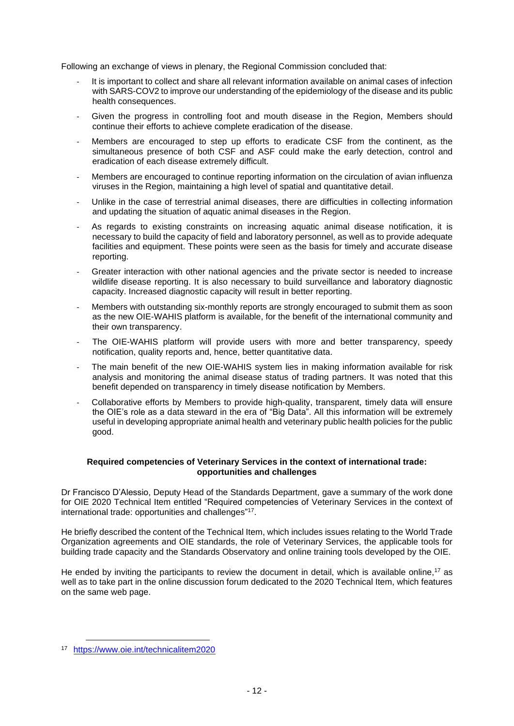Following an exchange of views in plenary, the Regional Commission concluded that:

- It is important to collect and share all relevant information available on animal cases of infection with SARS-COV2 to improve our understanding of the epidemiology of the disease and its public health consequences.
- Given the progress in controlling foot and mouth disease in the Region, Members should continue their efforts to achieve complete eradication of the disease.
- Members are encouraged to step up efforts to eradicate CSF from the continent, as the simultaneous presence of both CSF and ASF could make the early detection, control and eradication of each disease extremely difficult.
- Members are encouraged to continue reporting information on the circulation of avian influenza viruses in the Region, maintaining a high level of spatial and quantitative detail.
- Unlike in the case of terrestrial animal diseases, there are difficulties in collecting information and updating the situation of aquatic animal diseases in the Region.
- As regards to existing constraints on increasing aquatic animal disease notification, it is necessary to build the capacity of field and laboratory personnel, as well as to provide adequate facilities and equipment. These points were seen as the basis for timely and accurate disease reporting.
- Greater interaction with other national agencies and the private sector is needed to increase wildlife disease reporting. It is also necessary to build surveillance and laboratory diagnostic capacity. Increased diagnostic capacity will result in better reporting.
- Members with outstanding six-monthly reports are strongly encouraged to submit them as soon as the new OIE-WAHIS platform is available, for the benefit of the international community and their own transparency.
- The OIE-WAHIS platform will provide users with more and better transparency, speedy notification, quality reports and, hence, better quantitative data.
- The main benefit of the new OIE-WAHIS system lies in making information available for risk analysis and monitoring the animal disease status of trading partners. It was noted that this benefit depended on transparency in timely disease notification by Members.
- Collaborative efforts by Members to provide high-quality, transparent, timely data will ensure the OIE's role as a data steward in the era of "Big Data". All this information will be extremely useful in developing appropriate animal health and veterinary public health policies for the public good.

# **Required competencies of Veterinary Services in the context of international trade: opportunities and challenges**

Dr Francisco D'Alessio, Deputy Head of the Standards Department, gave a summary of the work done for OIE 2020 Technical Item entitled "Required competencies of Veterinary Services in the context of international trade: opportunities and challenges"<sup>17</sup>.

He briefly described the content of the Technical Item, which includes issues relating to the World Trade Organization agreements and OIE standards, the role of Veterinary Services, the applicable tools for building trade capacity and the Standards Observatory and online training tools developed by the OIE.

He ended by inviting the participants to review the document in detail, which is available online,<sup>17</sup> as well as to take part in the online discussion forum dedicated to the 2020 Technical Item, which features on the same web page.

<sup>17</sup> <https://www.oie.int/technicalitem2020>